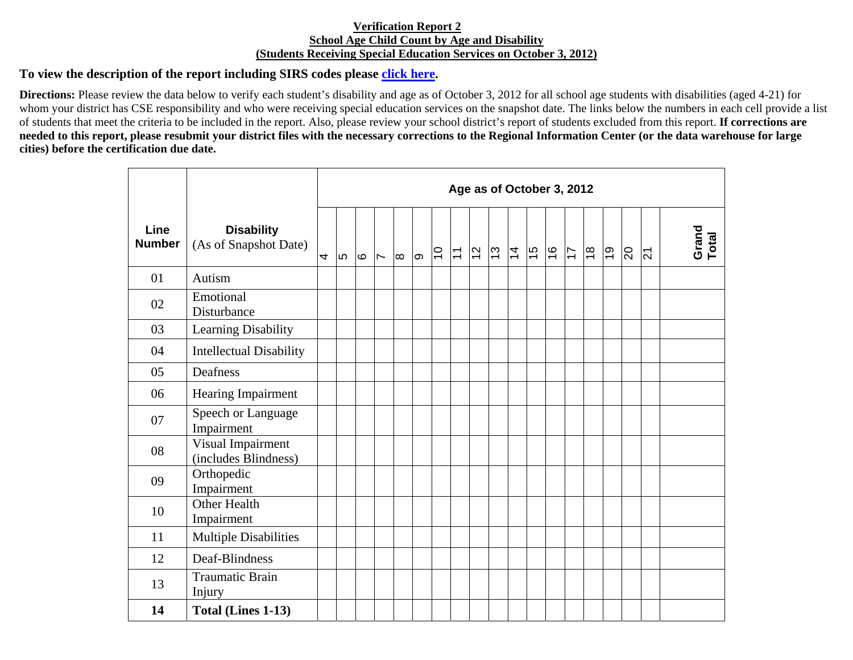## **Verification Report 2 School Age Child Count by Age and Disability (Students Receiving Special Education Services on October 3, 2012)**

## **To view the description of the report including SIRS codes please click here.**

**Directions:** Please review the data below to verify each student's disability and age as of October 3, 2012 for all school age students with disabilities (aged 4-21) for whom your district has CSE responsibility and who were receiving special education services on the snapshot date. The links below the numbers in each cell provide a list of students that meet the criteria to be included in the report. Also, please review your school district's report of students excluded from this report. **If corrections are needed to this report, please resubmit your district files with the necessary corrections to the Regional Information Center (or the data warehouse for large cities) before the certification due date.** 

|                       |                                            | Age as of October 3, 2012 |     |      |                |          |   |                |                |         |  |               |               |               |                |               |    |                         |                |                |
|-----------------------|--------------------------------------------|---------------------------|-----|------|----------------|----------|---|----------------|----------------|---------|--|---------------|---------------|---------------|----------------|---------------|----|-------------------------|----------------|----------------|
| Line<br><b>Number</b> | <b>Disability</b><br>(As of Snapshot Date) | 4                         | lu. | l co | $\overline{ }$ | $\infty$ | ത | $\overline{C}$ | $\overline{1}$ | $ z $ က |  | $\frac{1}{4}$ | $\frac{6}{7}$ | $\frac{8}{1}$ | $\overline{1}$ | $\frac{8}{1}$ | ခြ | $\overline{\mathbb{S}}$ | $\overline{5}$ | Grand<br>Total |
| 01                    | Autism                                     |                           |     |      |                |          |   |                |                |         |  |               |               |               |                |               |    |                         |                |                |
| 02                    | Emotional<br>Disturbance                   |                           |     |      |                |          |   |                |                |         |  |               |               |               |                |               |    |                         |                |                |
| 03                    | Learning Disability                        |                           |     |      |                |          |   |                |                |         |  |               |               |               |                |               |    |                         |                |                |
| 04                    | <b>Intellectual Disability</b>             |                           |     |      |                |          |   |                |                |         |  |               |               |               |                |               |    |                         |                |                |
| 05                    | Deafness                                   |                           |     |      |                |          |   |                |                |         |  |               |               |               |                |               |    |                         |                |                |
| 06                    | Hearing Impairment                         |                           |     |      |                |          |   |                |                |         |  |               |               |               |                |               |    |                         |                |                |
| 07                    | Speech or Language<br>Impairment           |                           |     |      |                |          |   |                |                |         |  |               |               |               |                |               |    |                         |                |                |
| 08                    | Visual Impairment<br>(includes Blindness)  |                           |     |      |                |          |   |                |                |         |  |               |               |               |                |               |    |                         |                |                |
| 09                    | Orthopedic<br>Impairment                   |                           |     |      |                |          |   |                |                |         |  |               |               |               |                |               |    |                         |                |                |
| 10                    | <b>Other Health</b><br>Impairment          |                           |     |      |                |          |   |                |                |         |  |               |               |               |                |               |    |                         |                |                |
| 11                    | <b>Multiple Disabilities</b>               |                           |     |      |                |          |   |                |                |         |  |               |               |               |                |               |    |                         |                |                |
| 12                    | Deaf-Blindness                             |                           |     |      |                |          |   |                |                |         |  |               |               |               |                |               |    |                         |                |                |
| 13                    | <b>Traumatic Brain</b><br>Injury           |                           |     |      |                |          |   |                |                |         |  |               |               |               |                |               |    |                         |                |                |
| 14                    | Total (Lines 1-13)                         |                           |     |      |                |          |   |                |                |         |  |               |               |               |                |               |    |                         |                |                |